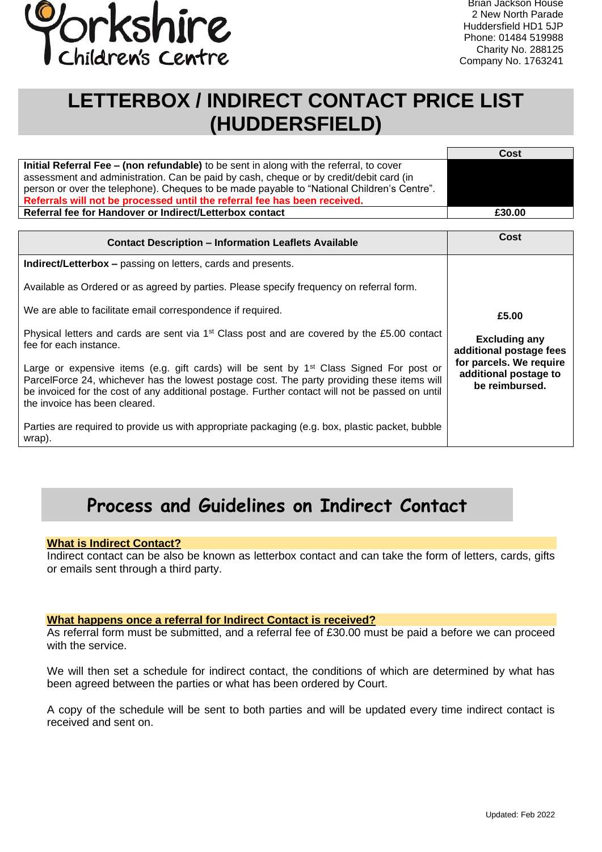

 Huddersfield HD1 5JP Brian Jackson House 2 New North Parade Phone: 01484 519988 Charity No. 288125 Company No. 1763241

# **LETTERBOX / INDIRECT CONTACT PRICE LIST (HUDDERSFIELD)**

|                                                                                            | Cost   |
|--------------------------------------------------------------------------------------------|--------|
| Initial Referral Fee – (non refundable) to be sent in along with the referral, to cover    |        |
| assessment and administration. Can be paid by cash, cheque or by credit/debit card (in     |        |
| person or over the telephone). Cheques to be made payable to "National Children's Centre". |        |
| Referrals will not be processed until the referral fee has been received.                  |        |
| Referral fee for Handover or Indirect/Letterbox contact                                    | £30.00 |

| <b>Contact Description - Information Leaflets Available</b>                                                                                                                                                                                                                                                                            | Cost                                                                                                                           |
|----------------------------------------------------------------------------------------------------------------------------------------------------------------------------------------------------------------------------------------------------------------------------------------------------------------------------------------|--------------------------------------------------------------------------------------------------------------------------------|
| <b>Indirect/Letterbox – passing on letters, cards and presents.</b>                                                                                                                                                                                                                                                                    |                                                                                                                                |
| Available as Ordered or as agreed by parties. Please specify frequency on referral form.                                                                                                                                                                                                                                               | £5.00<br><b>Excluding any</b><br>additional postage fees<br>for parcels. We require<br>additional postage to<br>be reimbursed. |
| We are able to facilitate email correspondence if required.                                                                                                                                                                                                                                                                            |                                                                                                                                |
| Physical letters and cards are sent via 1 <sup>st</sup> Class post and are covered by the £5.00 contact<br>fee for each instance.                                                                                                                                                                                                      |                                                                                                                                |
| Large or expensive items (e.g. gift cards) will be sent by 1 <sup>st</sup> Class Signed For post or<br>ParcelForce 24, whichever has the lowest postage cost. The party providing these items will<br>be invoiced for the cost of any additional postage. Further contact will not be passed on until<br>the invoice has been cleared. |                                                                                                                                |
| Parties are required to provide us with appropriate packaging (e.g. box, plastic packet, bubble<br>wrap).                                                                                                                                                                                                                              |                                                                                                                                |

# **Process and Guidelines on Indirect Contact**

# **What is Indirect Contact?**

Indirect contact can be also be known as letterbox contact and can take the form of letters, cards, gifts or emails sent through a third party.

#### **What happens once a referral for Indirect Contact is received?**

As referral form must be submitted, and a referral fee of £30.00 must be paid a before we can proceed with the service.

We will then set a schedule for indirect contact, the conditions of which are determined by what has been agreed between the parties or what has been ordered by Court.

A copy of the schedule will be sent to both parties and will be updated every time indirect contact is received and sent on.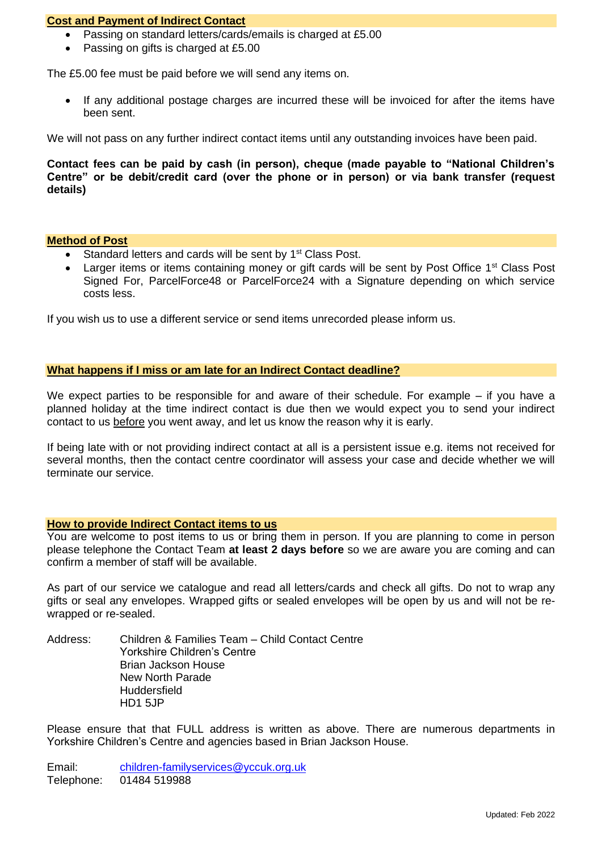# **Cost and Payment of Indirect Contact**

- Passing on standard letters/cards/emails is charged at £5.00
- Passing on gifts is charged at £5.00

The £5.00 fee must be paid before we will send any items on.

• If any additional postage charges are incurred these will be invoiced for after the items have been sent.

We will not pass on any further indirect contact items until any outstanding invoices have been paid.

**Contact fees can be paid by cash (in person), cheque (made payable to "National Children's Centre" or be debit/credit card (over the phone or in person) or via bank transfer (request details)**

#### **Method of Post**

- Standard letters and cards will be sent by 1<sup>st</sup> Class Post.
- Larger items or items containing money or gift cards will be sent by Post Office 1<sup>st</sup> Class Post Signed For, ParcelForce48 or ParcelForce24 with a Signature depending on which service costs less.

If you wish us to use a different service or send items unrecorded please inform us.

#### **What happens if I miss or am late for an Indirect Contact deadline?**

We expect parties to be responsible for and aware of their schedule. For example – if you have a planned holiday at the time indirect contact is due then we would expect you to send your indirect contact to us before you went away, and let us know the reason why it is early.

If being late with or not providing indirect contact at all is a persistent issue e.g. items not received for several months, then the contact centre coordinator will assess your case and decide whether we will terminate our service.

#### **How to provide Indirect Contact items to us**

You are welcome to post items to us or bring them in person. If you are planning to come in person please telephone the Contact Team **at least 2 days before** so we are aware you are coming and can confirm a member of staff will be available.

As part of our service we catalogue and read all letters/cards and check all gifts. Do not to wrap any gifts or seal any envelopes. Wrapped gifts or sealed envelopes will be open by us and will not be rewrapped or re-sealed.

Address: Children & Families Team – Child Contact Centre Yorkshire Children's Centre Brian Jackson House New North Parade **Huddersfield** HD1 5JP

Please ensure that that FULL address is written as above. There are numerous departments in Yorkshire Children's Centre and agencies based in Brian Jackson House.

Email: [children-familyservices@yccuk.org.uk](mailto:children-familyservices@yccuk.org.uk) Telephone: 01484 519988